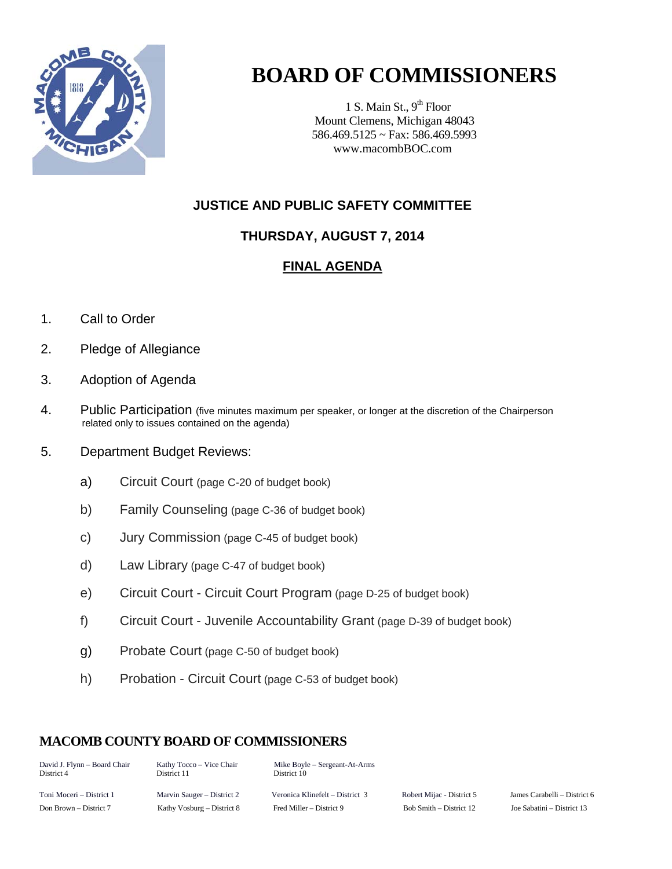

# **BOARD OF COMMISSIONERS**

1 S. Main St.,  $9<sup>th</sup>$  Floor Mount Clemens, Michigan 48043 586.469.5125 ~ Fax: 586.469.5993 www.macombBOC.com

### **JUSTICE AND PUBLIC SAFETY COMMITTEE**

## **THURSDAY, AUGUST 7, 2014**

### **FINAL AGENDA**

- 1. Call to Order
- 2. Pledge of Allegiance
- 3. Adoption of Agenda
- 4. Public Participation (five minutes maximum per speaker, or longer at the discretion of the Chairperson related only to issues contained on the agenda)
- 5. Department Budget Reviews:
	- a) Circuit Court (page C-20 of budget book)
	- b) Family Counseling (page C-36 of budget book)
	- c) Jury Commission (page C-45 of budget book)
	- d) Law Library (page C-47 of budget book)
	- e) Circuit Court Circuit Court Program (page D-25 of budget book)
	- f) Circuit Court Juvenile Accountability Grant (page D-39 of budget book)
	- g) Probate Court (page C-50 of budget book)
	- h) Probation Circuit Court (page C-53 of budget book)

#### **MACOMB COUNTY BOARD OF COMMISSIONERS**

| David J. Flynn – Board Chair | Kathy Tocco – Vice Chair   | Mike Boyle – Sergeant-At-Arms   |       |
|------------------------------|----------------------------|---------------------------------|-------|
| District 4                   | District 11                | District 10                     |       |
| Toni Moceri – District 1     | Marvin Sauger – District 2 | Veronica Klinefelt – District 3 | Rober |

rt Mijac - District 5 James Carabelli – District 6 Don Brown – District 7 Kathy Vosburg – District 8 Fred Miller – District 9 Bob Smith – District 12 Joe Sabatini – District 13